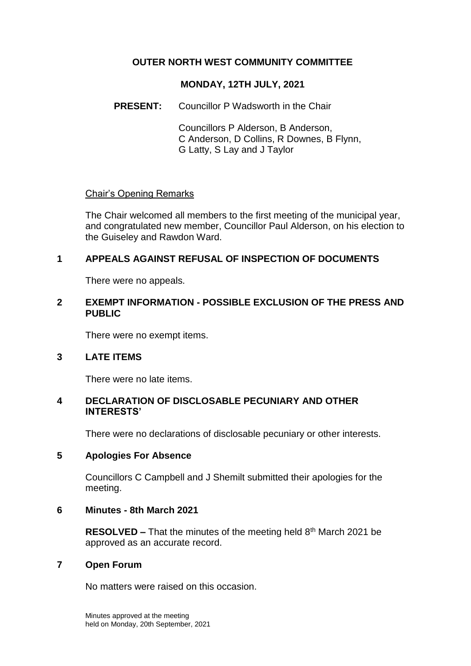### **OUTER NORTH WEST COMMUNITY COMMITTEE**

#### **MONDAY, 12TH JULY, 2021**

#### **PRESENT:** Councillor P Wadsworth in the Chair

Councillors P Alderson, B Anderson, C Anderson, D Collins, R Downes, B Flynn, G Latty, S Lay and J Taylor

#### Chair's Opening Remarks

The Chair welcomed all members to the first meeting of the municipal year, and congratulated new member, Councillor Paul Alderson, on his election to the Guiseley and Rawdon Ward.

## **1 APPEALS AGAINST REFUSAL OF INSPECTION OF DOCUMENTS**

There were no appeals.

#### **2 EXEMPT INFORMATION - POSSIBLE EXCLUSION OF THE PRESS AND PUBLIC**

There were no exempt items.

## **3 LATE ITEMS**

There were no late items.

### **4 DECLARATION OF DISCLOSABLE PECUNIARY AND OTHER INTERESTS'**

There were no declarations of disclosable pecuniary or other interests.

#### **5 Apologies For Absence**

Councillors C Campbell and J Shemilt submitted their apologies for the meeting.

#### **6 Minutes - 8th March 2021**

**RESOLVED –** That the minutes of the meeting held 8<sup>th</sup> March 2021 be approved as an accurate record.

#### **7 Open Forum**

No matters were raised on this occasion.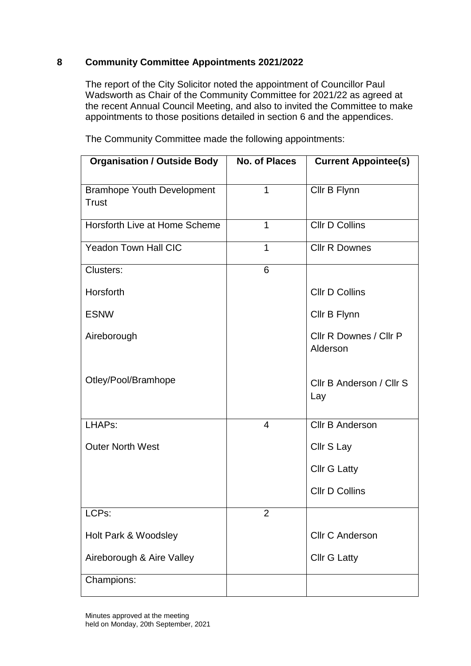## **8 Community Committee Appointments 2021/2022**

The report of the City Solicitor noted the appointment of Councillor Paul Wadsworth as Chair of the Community Committee for 2021/22 as agreed at the recent Annual Council Meeting, and also to invited the Committee to make appointments to those positions detailed in section 6 and the appendices.

| <b>Organisation / Outside Body</b>                | <b>No. of Places</b> | <b>Current Appointee(s)</b>        |
|---------------------------------------------------|----------------------|------------------------------------|
| <b>Bramhope Youth Development</b><br><b>Trust</b> | 1                    | Cllr B Flynn                       |
| Horsforth Live at Home Scheme                     | 1                    | <b>Cllr D Collins</b>              |
| <b>Yeadon Town Hall CIC</b>                       | 1                    | <b>Cllr R Downes</b>               |
| Clusters:                                         | 6                    |                                    |
| Horsforth                                         |                      | <b>Cllr D Collins</b>              |
| <b>ESNW</b>                                       |                      | Cllr B Flynn                       |
| Aireborough                                       |                      | Cllr R Downes / Cllr P<br>Alderson |
| Otley/Pool/Bramhope                               |                      | Cllr B Anderson / Cllr S<br>Lay    |
| LHAPs:                                            | 4                    | <b>Cllr B Anderson</b>             |
| <b>Outer North West</b>                           |                      | Cllr S Lay                         |
|                                                   |                      | <b>Cllr G Latty</b>                |
|                                                   |                      | <b>Cllr D Collins</b>              |
| LCPs:                                             | 2                    |                                    |
| Holt Park & Woodsley                              |                      | <b>Cllr C Anderson</b>             |
| Aireborough & Aire Valley                         |                      | <b>Cllr G Latty</b>                |
| Champions:                                        |                      |                                    |

The Community Committee made the following appointments: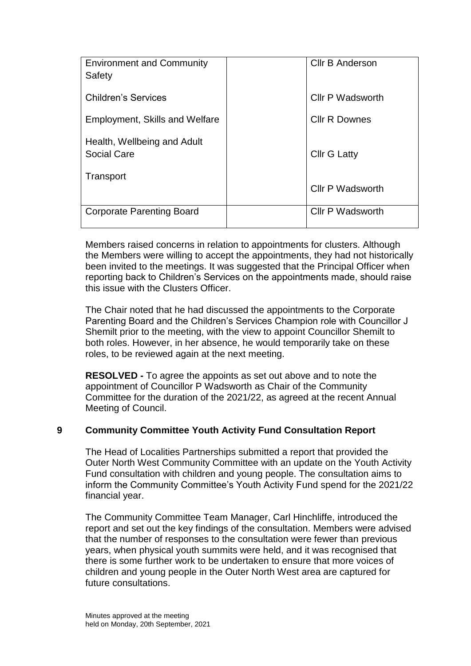| <b>Environment and Community</b><br>Safety        | <b>CIIr B Anderson</b>  |
|---------------------------------------------------|-------------------------|
| <b>Children's Services</b>                        | <b>CIIr P Wadsworth</b> |
| <b>Employment, Skills and Welfare</b>             | <b>Cllr R Downes</b>    |
| Health, Wellbeing and Adult<br><b>Social Care</b> | <b>Cllr G Latty</b>     |
| Transport                                         | <b>Cllr P Wadsworth</b> |
| <b>Corporate Parenting Board</b>                  | <b>CIIr P Wadsworth</b> |

Members raised concerns in relation to appointments for clusters. Although the Members were willing to accept the appointments, they had not historically been invited to the meetings. It was suggested that the Principal Officer when reporting back to Children's Services on the appointments made, should raise this issue with the Clusters Officer.

The Chair noted that he had discussed the appointments to the Corporate Parenting Board and the Children's Services Champion role with Councillor J Shemilt prior to the meeting, with the view to appoint Councillor Shemilt to both roles. However, in her absence, he would temporarily take on these roles, to be reviewed again at the next meeting.

**RESOLVED -** To agree the appoints as set out above and to note the appointment of Councillor P Wadsworth as Chair of the Community Committee for the duration of the 2021/22, as agreed at the recent Annual Meeting of Council.

## **9 Community Committee Youth Activity Fund Consultation Report**

The Head of Localities Partnerships submitted a report that provided the Outer North West Community Committee with an update on the Youth Activity Fund consultation with children and young people. The consultation aims to inform the Community Committee's Youth Activity Fund spend for the 2021/22 financial year.

The Community Committee Team Manager, Carl Hinchliffe, introduced the report and set out the key findings of the consultation. Members were advised that the number of responses to the consultation were fewer than previous years, when physical youth summits were held, and it was recognised that there is some further work to be undertaken to ensure that more voices of children and young people in the Outer North West area are captured for future consultations.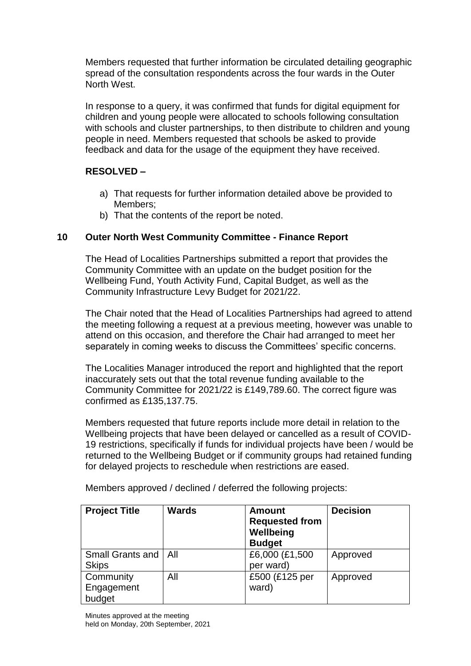Members requested that further information be circulated detailing geographic spread of the consultation respondents across the four wards in the Outer North West.

In response to a query, it was confirmed that funds for digital equipment for children and young people were allocated to schools following consultation with schools and cluster partnerships, to then distribute to children and young people in need. Members requested that schools be asked to provide feedback and data for the usage of the equipment they have received.

# **RESOLVED –**

- a) That requests for further information detailed above be provided to Members;
- b) That the contents of the report be noted.

## **10 Outer North West Community Committee - Finance Report**

The Head of Localities Partnerships submitted a report that provides the Community Committee with an update on the budget position for the Wellbeing Fund, Youth Activity Fund, Capital Budget, as well as the Community Infrastructure Levy Budget for 2021/22.

The Chair noted that the Head of Localities Partnerships had agreed to attend the meeting following a request at a previous meeting, however was unable to attend on this occasion, and therefore the Chair had arranged to meet her separately in coming weeks to discuss the Committees' specific concerns.

The Localities Manager introduced the report and highlighted that the report inaccurately sets out that the total revenue funding available to the Community Committee for 2021/22 is £149,789.60. The correct figure was confirmed as £135,137.75.

Members requested that future reports include more detail in relation to the Wellbeing projects that have been delayed or cancelled as a result of COVID-19 restrictions, specifically if funds for individual projects have been / would be returned to the Wellbeing Budget or if community groups had retained funding for delayed projects to reschedule when restrictions are eased.

| <b>Project Title</b>   | <b>Wards</b> | <b>Amount</b><br><b>Requested from</b><br>Wellbeing<br><b>Budget</b> | <b>Decision</b> |
|------------------------|--------------|----------------------------------------------------------------------|-----------------|
| Small Grants and   All |              | £6,000 (£1,500                                                       | Approved        |
| <b>Skips</b>           |              | per ward)                                                            |                 |
| Community              | All          | £500 (£125 per                                                       | Approved        |
| Engagement             |              | ward)                                                                |                 |
| budget                 |              |                                                                      |                 |

Members approved / declined / deferred the following projects: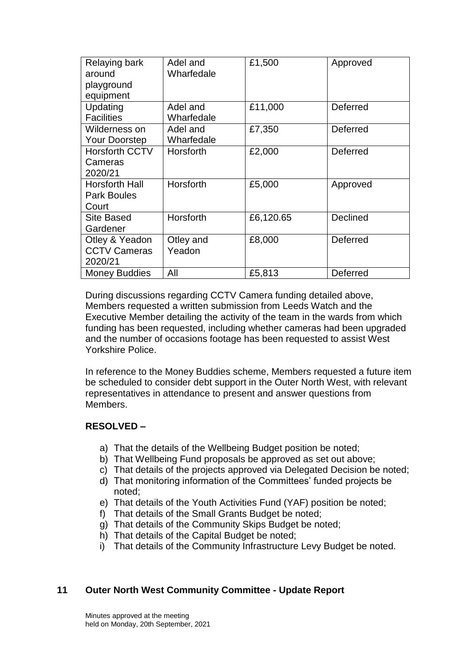| Relaying bark<br>around<br>playground | Adel and<br>Wharfedale | £1,500    | Approved        |
|---------------------------------------|------------------------|-----------|-----------------|
| equipment                             |                        |           |                 |
| Updating                              | Adel and               | £11,000   | Deferred        |
| <b>Facilities</b>                     | Wharfedale             |           |                 |
| Wilderness on                         | Adel and               | £7,350    | Deferred        |
| <b>Your Doorstep</b>                  | Wharfedale             |           |                 |
| <b>Horsforth CCTV</b>                 | Horsforth              | £2,000    | Deferred        |
| Cameras                               |                        |           |                 |
| 2020/21                               |                        |           |                 |
| <b>Horsforth Hall</b>                 | Horsforth              | £5,000    | Approved        |
| <b>Park Boules</b>                    |                        |           |                 |
| Court                                 |                        |           |                 |
| <b>Site Based</b>                     | Horsforth              | £6,120.65 | <b>Declined</b> |
| Gardener                              |                        |           |                 |
| Otley & Yeadon                        | Otley and              | £8,000    | Deferred        |
| <b>CCTV Cameras</b>                   | Yeadon                 |           |                 |
| 2020/21                               |                        |           |                 |
| <b>Money Buddies</b>                  | All                    | £5,813    | Deferred        |

During discussions regarding CCTV Camera funding detailed above, Members requested a written submission from Leeds Watch and the Executive Member detailing the activity of the team in the wards from which funding has been requested, including whether cameras had been upgraded and the number of occasions footage has been requested to assist West Yorkshire Police.

In reference to the Money Buddies scheme, Members requested a future item be scheduled to consider debt support in the Outer North West, with relevant representatives in attendance to present and answer questions from Members.

#### **RESOLVED –**

- a) That the details of the Wellbeing Budget position be noted;
- b) That Wellbeing Fund proposals be approved as set out above;
- c) That details of the projects approved via Delegated Decision be noted;
- d) That monitoring information of the Committees' funded projects be noted;
- e) That details of the Youth Activities Fund (YAF) position be noted;
- f) That details of the Small Grants Budget be noted;
- g) That details of the Community Skips Budget be noted;
- h) That details of the Capital Budget be noted;
- i) That details of the Community Infrastructure Levy Budget be noted.

#### **11 Outer North West Community Committee - Update Report**

Minutes approved at the meeting held on Monday, 20th September, 2021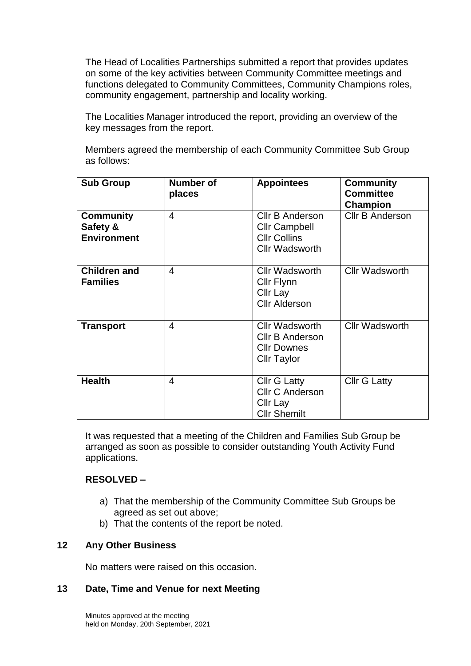The Head of Localities Partnerships submitted a report that provides updates on some of the key activities between Community Committee meetings and functions delegated to Community Committees, Community Champions roles, community engagement, partnership and locality working.

The Localities Manager introduced the report, providing an overview of the key messages from the report.

Members agreed the membership of each Community Committee Sub Group as follows:

| <b>Sub Group</b>                                   | <b>Number of</b><br>places | <b>Appointees</b>                                                                           | <b>Community</b><br><b>Committee</b><br><b>Champion</b> |
|----------------------------------------------------|----------------------------|---------------------------------------------------------------------------------------------|---------------------------------------------------------|
| <b>Community</b><br>Safety &<br><b>Environment</b> | 4                          | Cllr B Anderson<br><b>Cllr Campbell</b><br><b>CIIr Collins</b><br><b>Cllr Wadsworth</b>     | <b>CIIr B Anderson</b>                                  |
| <b>Children and</b><br><b>Families</b>             | 4                          | <b>Cllr Wadsworth</b><br>Cllr Flynn<br>Cllr Lay<br><b>Cllr Alderson</b>                     | <b>Cllr Wadsworth</b>                                   |
| <b>Transport</b>                                   | $\overline{\mathcal{A}}$   | <b>Cllr Wadsworth</b><br><b>Cllr B Anderson</b><br><b>Cllr Downes</b><br><b>Cllr Taylor</b> | <b>Cllr Wadsworth</b>                                   |
| <b>Health</b>                                      | $\overline{\mathcal{A}}$   | <b>Cllr G Latty</b><br><b>Cllr C Anderson</b><br>Cllr Lay<br><b>Cllr Shemilt</b>            | <b>Cllr G Latty</b>                                     |

It was requested that a meeting of the Children and Families Sub Group be arranged as soon as possible to consider outstanding Youth Activity Fund applications.

#### **RESOLVED –**

- a) That the membership of the Community Committee Sub Groups be agreed as set out above;
- b) That the contents of the report be noted.

#### **12 Any Other Business**

No matters were raised on this occasion.

#### **13 Date, Time and Venue for next Meeting**

Minutes approved at the meeting held on Monday, 20th September, 2021